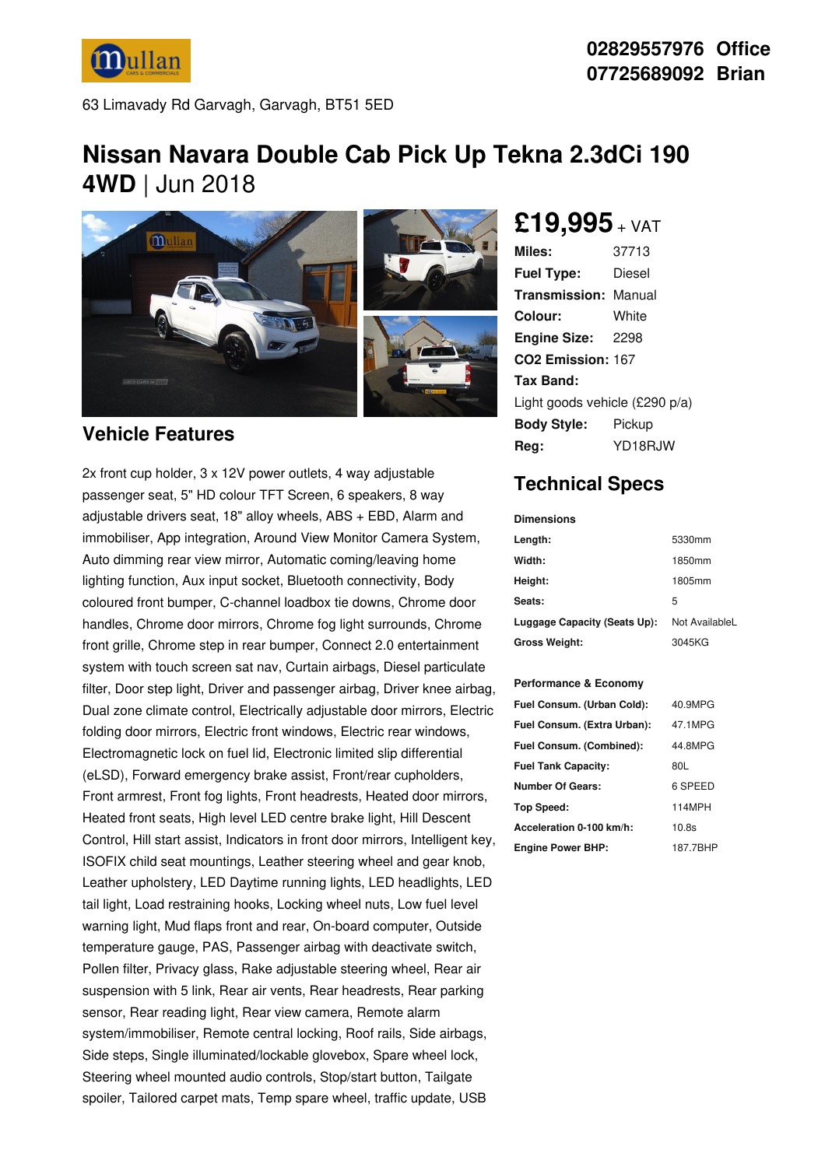

63 Limavady Rd Garvagh, Garvagh, BT51 5ED

# **Nissan Navara Double Cab Pick Up Tekna 2.3dCi 190 4WD** | Jun 2018



#### **Vehicle Features**

2x front cup holder, 3 x 12V power outlets, 4 way adjustable passenger seat, 5" HD colour TFT Screen, 6 speakers, 8 way adjustable drivers seat, 18" alloy wheels, ABS + EBD, Alarm and immobiliser, App integration, Around View Monitor Camera System, Auto dimming rear view mirror, Automatic coming/leaving home lighting function, Aux input socket, Bluetooth connectivity, Body coloured front bumper, C-channel loadbox tie downs, Chrome door handles, Chrome door mirrors, Chrome fog light surrounds, Chrome front grille, Chrome step in rear bumper, Connect 2.0 entertainment system with touch screen sat nav, Curtain airbags, Diesel particulate filter, Door step light, Driver and passenger airbag, Driver knee airbag, Dual zone climate control, Electrically adjustable door mirrors, Electric folding door mirrors, Electric front windows, Electric rear windows, Electromagnetic lock on fuel lid, Electronic limited slip differential (eLSD), Forward emergency brake assist, Front/rear cupholders, Front armrest, Front fog lights, Front headrests, Heated door mirrors, Heated front seats, High level LED centre brake light, Hill Descent Control, Hill start assist, Indicators in front door mirrors, Intelligent key, ISOFIX child seat mountings, Leather steering wheel and gear knob, Leather upholstery, LED Daytime running lights, LED headlights, LED tail light, Load restraining hooks, Locking wheel nuts, Low fuel level warning light, Mud flaps front and rear, On-board computer, Outside temperature gauge, PAS, Passenger airbag with deactivate switch, Pollen filter, Privacy glass, Rake adjustable steering wheel, Rear air suspension with 5 link, Rear air vents, Rear headrests, Rear parking sensor, Rear reading light, Rear view camera, Remote alarm system/immobiliser, Remote central locking, Roof rails, Side airbags, Side steps, Single illuminated/lockable glovebox, Spare wheel lock, Steering wheel mounted audio controls, Stop/start button, Tailgate spoiler, Tailored carpet mats, Temp spare wheel, traffic update, USB

**£19,995** <sup>+</sup> VAT

| Miles:                         | 37713                 |  |
|--------------------------------|-----------------------|--|
| <b>Fuel Type:</b>              | Diesel                |  |
| <b>Transmission: Manual</b>    |                       |  |
| Colour:                        | White                 |  |
| Engine Size: 2298              |                       |  |
| CO <sub>2</sub> Emission: 167  |                       |  |
| <b>Tax Band:</b>               |                       |  |
| Light goods vehicle (£290 p/a) |                       |  |
| <b>Body Style:</b>             | Pickup                |  |
| Rea:                           | YD <sub>18</sub> R.IW |  |

### **Technical Specs**

**Dimensions**

| Length:                      | 5330mm         |
|------------------------------|----------------|
| Width:                       | 1850mm         |
| Height:                      | 1805mm         |
| Seats:                       | 5              |
| Luggage Capacity (Seats Up): | Not AvailableL |
| <b>Gross Weight:</b>         | 3045KG         |

#### **Performance & Economy**

| Fuel Consum. (Urban Cold):  | 40.9MPG  |
|-----------------------------|----------|
| Fuel Consum. (Extra Urban): | 47.1MPG  |
| Fuel Consum. (Combined):    | 44.8MPG  |
| <b>Fuel Tank Capacity:</b>  | 80L      |
| <b>Number Of Gears:</b>     | 6 SPEED  |
| Top Speed:                  | 114MPH   |
| Acceleration 0-100 km/h:    | 10.8s    |
| <b>Engine Power BHP:</b>    | 187.7BHP |